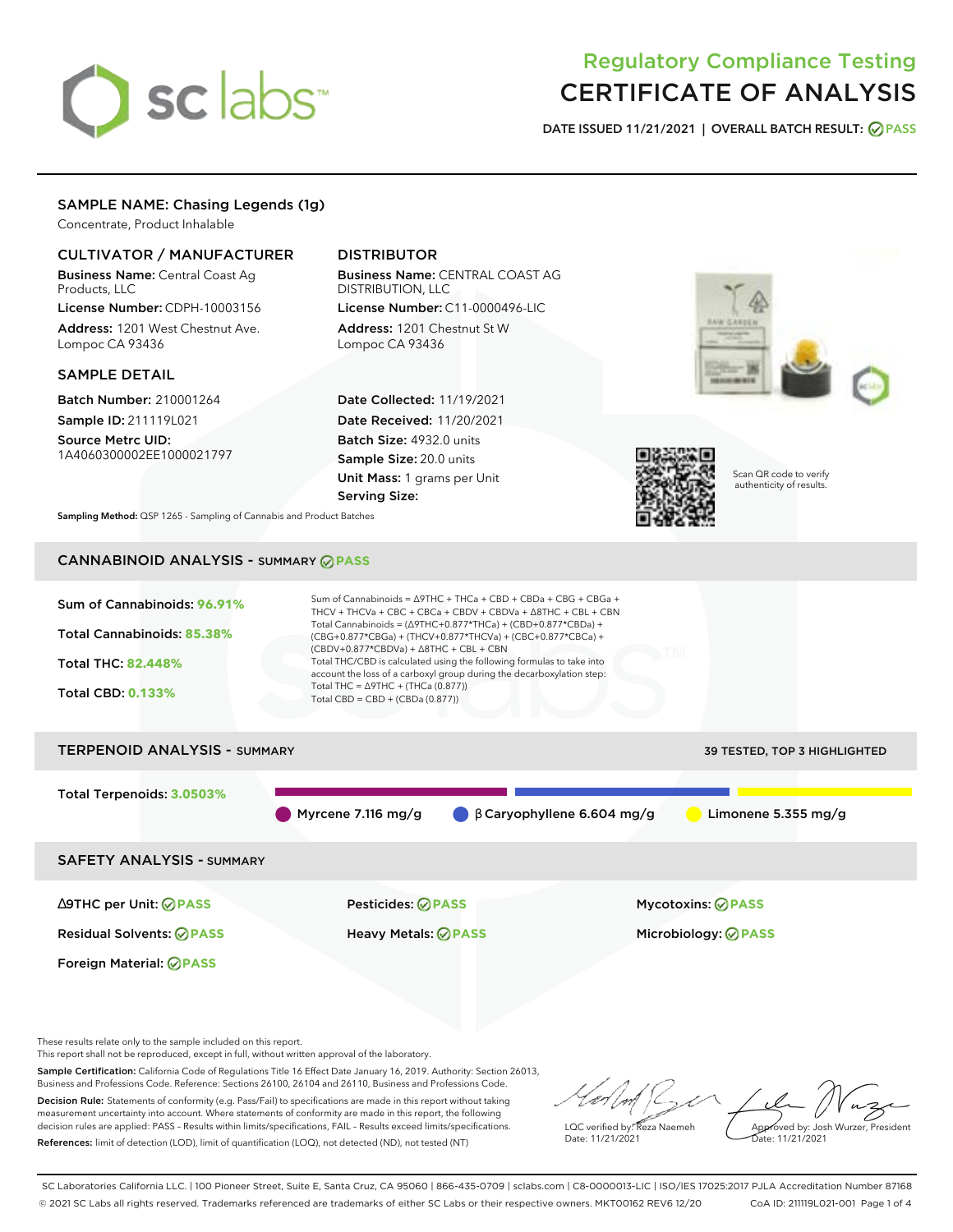# sclabs<sup>\*</sup>

# Regulatory Compliance Testing CERTIFICATE OF ANALYSIS

**DATE ISSUED 11/21/2021 | OVERALL BATCH RESULT: PASS**

# SAMPLE NAME: Chasing Legends (1g)

Concentrate, Product Inhalable

# CULTIVATOR / MANUFACTURER

Business Name: Central Coast Ag Products, LLC

License Number: CDPH-10003156 Address: 1201 West Chestnut Ave. Lompoc CA 93436

## SAMPLE DETAIL

Batch Number: 210001264 Sample ID: 211119L021

Source Metrc UID: 1A4060300002EE1000021797

# DISTRIBUTOR

Business Name: CENTRAL COAST AG DISTRIBUTION, LLC License Number: C11-0000496-LIC

Address: 1201 Chestnut St W Lompoc CA 93436

Date Collected: 11/19/2021 Date Received: 11/20/2021 Batch Size: 4932.0 units Sample Size: 20.0 units Unit Mass: 1 grams per Unit Serving Size:





Scan QR code to verify authenticity of results.

**Sampling Method:** QSP 1265 - Sampling of Cannabis and Product Batches

# CANNABINOID ANALYSIS - SUMMARY **PASS**



# TERPENOID ANALYSIS - SUMMARY 39 TESTED, TOP 3 HIGHLIGHTED Total Terpenoids: **3.0503%** Myrcene 7.116 mg/g  $\bigcirc$  β Caryophyllene 6.604 mg/g  $\bigcirc$  Limonene 5.355 mg/g SAFETY ANALYSIS - SUMMARY

∆9THC per Unit: **PASS** Pesticides: **PASS** Mycotoxins: **PASS**

Foreign Material: **PASS**

Residual Solvents: **PASS** Heavy Metals: **PASS** Microbiology: **PASS**

These results relate only to the sample included on this report.

This report shall not be reproduced, except in full, without written approval of the laboratory.

Sample Certification: California Code of Regulations Title 16 Effect Date January 16, 2019. Authority: Section 26013, Business and Professions Code. Reference: Sections 26100, 26104 and 26110, Business and Professions Code. Decision Rule: Statements of conformity (e.g. Pass/Fail) to specifications are made in this report without taking

measurement uncertainty into account. Where statements of conformity are made in this report, the following decision rules are applied: PASS – Results within limits/specifications, FAIL – Results exceed limits/specifications. References: limit of detection (LOD), limit of quantification (LOQ), not detected (ND), not tested (NT)

LQC verified by: Reza Naemeh Date: 11/21/2021 Approved by: Josh Wurzer, President Date: 11/21/2021

SC Laboratories California LLC. | 100 Pioneer Street, Suite E, Santa Cruz, CA 95060 | 866-435-0709 | sclabs.com | C8-0000013-LIC | ISO/IES 17025:2017 PJLA Accreditation Number 87168 © 2021 SC Labs all rights reserved. Trademarks referenced are trademarks of either SC Labs or their respective owners. MKT00162 REV6 12/20 CoA ID: 211119L021-001 Page 1 of 4